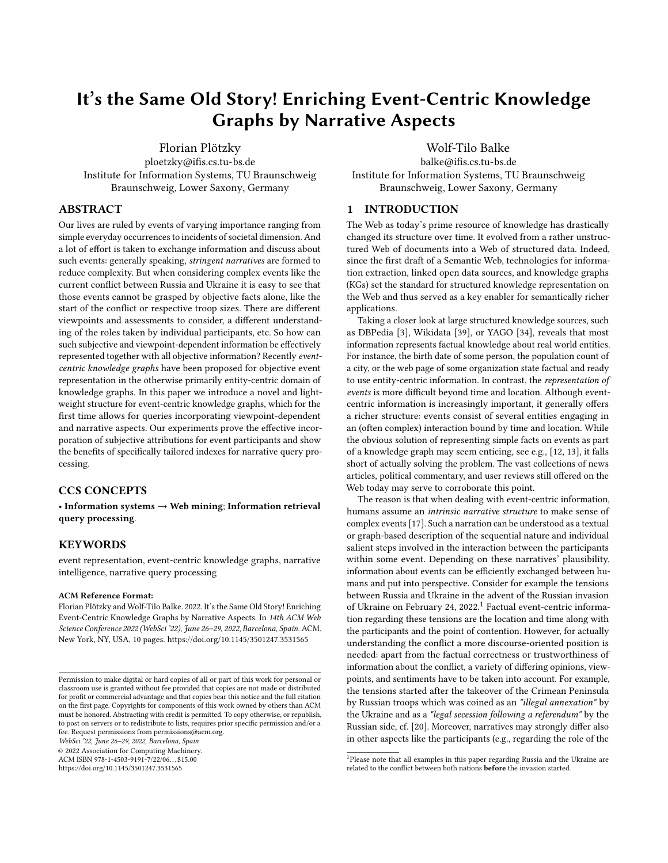# It's the Same Old Story! Enriching Event-Centric Knowledge Graphs by Narrative Aspects

[Florian Plötzky](https://orcid.org/0000-0002-4112-3192)

ploetzky@ifis.cs.tu-bs.de Institute for Information Systems, TU Braunschweig Braunschweig, Lower Saxony, Germany

## ABSTRACT

Our lives are ruled by events of varying importance ranging from simple everyday occurrences to incidents of societal dimension. And a lot of effort is taken to exchange information and discuss about such events: generally speaking, stringent narratives are formed to reduce complexity. But when considering complex events like the current conflict between Russia and Ukraine it is easy to see that those events cannot be grasped by objective facts alone, like the start of the conflict or respective troop sizes. There are different viewpoints and assessments to consider, a different understanding of the roles taken by individual participants, etc. So how can such subjective and viewpoint-dependent information be effectively represented together with all objective information? Recently eventcentric knowledge graphs have been proposed for objective event representation in the otherwise primarily entity-centric domain of knowledge graphs. In this paper we introduce a novel and lightweight structure for event-centric knowledge graphs, which for the first time allows for queries incorporating viewpoint-dependent and narrative aspects. Our experiments prove the effective incorporation of subjective attributions for event participants and show the benefits of specifically tailored indexes for narrative query processing.

## CCS CONCEPTS

• Information systems  $\rightarrow$  Web mining; Information retrieval query processing.

## **KEYWORDS**

event representation, event-centric knowledge graphs, narrative intelligence, narrative query processing

#### ACM Reference Format:

Florian Plötzky and Wolf-Tilo Balke. 2022. It's the Same Old Story! Enriching Event-Centric Knowledge Graphs by Narrative Aspects. In 14th ACM Web Science Conference 2022 (WebSci '22), June 26–29, 2022, Barcelona, Spain. ACM, New York, NY, USA, [10](#page-9-0) pages.<https://doi.org/10.1145/3501247.3531565>

WebSci '22, June 26–29, 2022, Barcelona, Spain

© 2022 Association for Computing Machinery.

ACM ISBN 978-1-4503-9191-7/22/06. . . \$15.00 <https://doi.org/10.1145/3501247.3531565>

# [Wolf-Tilo Balke](https://orcid.org/0000-0002-5443-1215)

balke@ifis.cs.tu-bs.de Institute for Information Systems, TU Braunschweig Braunschweig, Lower Saxony, Germany

# 1 INTRODUCTION

The Web as today's prime resource of knowledge has drastically changed its structure over time. It evolved from a rather unstructured Web of documents into a Web of structured data. Indeed, since the first draft of a Semantic Web, technologies for information extraction, linked open data sources, and knowledge graphs (KGs) set the standard for structured knowledge representation on the Web and thus served as a key enabler for semantically richer applications.

Taking a closer look at large structured knowledge sources, such as DBPedia [\[3\]](#page-8-0), Wikidata [\[39\]](#page-9-1), or YAGO [\[34\]](#page-9-2), reveals that most information represents factual knowledge about real world entities. For instance, the birth date of some person, the population count of a city, or the web page of some organization state factual and ready to use entity-centric information. In contrast, the representation of events is more difficult beyond time and location. Although eventcentric information is increasingly important, it generally offers a richer structure: events consist of several entities engaging in an (often complex) interaction bound by time and location. While the obvious solution of representing simple facts on events as part of a knowledge graph may seem enticing, see e.g., [\[12,](#page-8-1) [13\]](#page-8-2), it falls short of actually solving the problem. The vast collections of news articles, political commentary, and user reviews still offered on the Web today may serve to corroborate this point.

The reason is that when dealing with event-centric information, humans assume an intrinsic narrative structure to make sense of complex events [\[17\]](#page-9-3). Such a narration can be understood as a textual or graph-based description of the sequential nature and individual salient steps involved in the interaction between the participants within some event. Depending on these narratives' plausibility, information about events can be efficiently exchanged between humans and put into perspective. Consider for example the tensions between Russia and Ukraine in the advent of the Russian invasion of Ukraine on February 24, 2022.<sup>[1](#page-0-0)</sup> Factual event-centric information regarding these tensions are the location and time along with the participants and the point of contention. However, for actually understanding the conflict a more discourse-oriented position is needed: apart from the factual correctness or trustworthiness of information about the conflict, a variety of differing opinions, viewpoints, and sentiments have to be taken into account. For example, the tensions started after the takeover of the Crimean Peninsula by Russian troops which was coined as an "illegal annexation" by the Ukraine and as a "legal secession following a referendum" by the Russian side, cf. [\[20\]](#page-9-4). Moreover, narratives may strongly differ also in other aspects like the participants (e.g., regarding the role of the

Permission to make digital or hard copies of all or part of this work for personal or classroom use is granted without fee provided that copies are not made or distributed for profit or commercial advantage and that copies bear this notice and the full citation on the first page. Copyrights for components of this work owned by others than ACM must be honored. Abstracting with credit is permitted. To copy otherwise, or republish, to post on servers or to redistribute to lists, requires prior specific permission and/or a fee. Request permissions from permissions@acm.org.

<span id="page-0-0"></span> $^1$ Please note that all examples in this paper regarding Russia and the Ukraine are related to the conflict between both nations before the invasion started.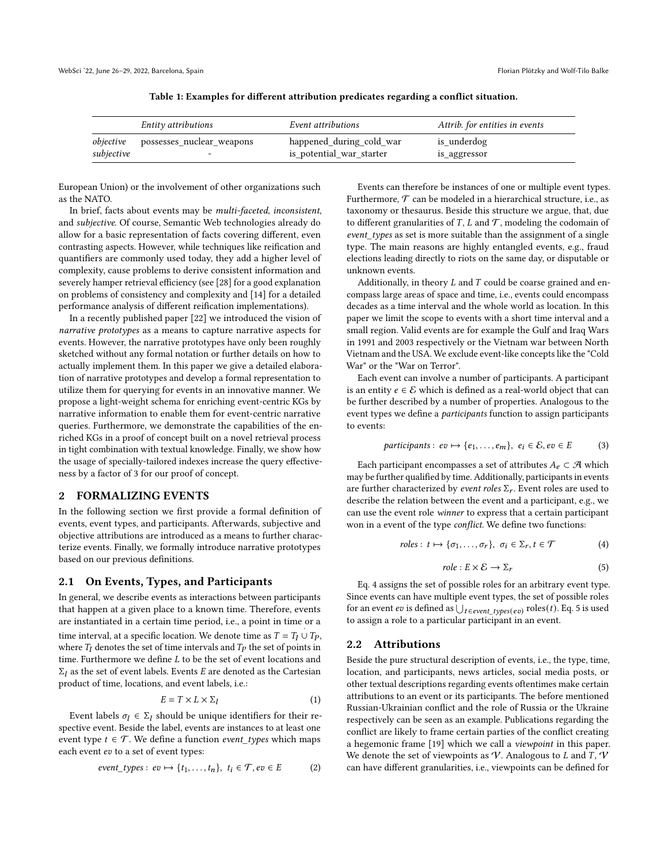<span id="page-1-2"></span>

|            | Entity attributions                        | Event attributions                                   | Attrib. for entities in events |
|------------|--------------------------------------------|------------------------------------------------------|--------------------------------|
| subjective | <i>objective</i> possesses_nuclear_weapons | happened_during_cold_war<br>is_potential_war_starter | is underdog<br>is_aggressor    |

| Table 1: Examples for different attribution predicates regarding a conflict situation. |  |  |  |  |
|----------------------------------------------------------------------------------------|--|--|--|--|
|                                                                                        |  |  |  |  |

European Union) or the involvement of other organizations such as the NATO.

In brief, facts about events may be multi-faceted, inconsistent, and subjective. Of course, Semantic Web technologies already do allow for a basic representation of facts covering different, even contrasting aspects. However, while techniques like reification and quantifiers are commonly used today, they add a higher level of complexity, cause problems to derive consistent information and severely hamper retrieval efficiency (see [\[28\]](#page-9-5) for a good explanation on problems of consistency and complexity and [\[14\]](#page-8-3) for a detailed performance analysis of different reification implementations).

In a recently published paper [\[22\]](#page-9-6) we introduced the vision of narrative prototypes as a means to capture narrative aspects for events. However, the narrative prototypes have only been roughly sketched without any formal notation or further details on how to actually implement them. In this paper we give a detailed elaboration of narrative prototypes and develop a formal representation to utilize them for querying for events in an innovative manner. We propose a light-weight schema for enriching event-centric KGs by narrative information to enable them for event-centric narrative queries. Furthermore, we demonstrate the capabilities of the enriched KGs in a proof of concept built on a novel retrieval process in tight combination with textual knowledge. Finally, we show how the usage of specially-tailored indexes increase the query effectiveness by a factor of 3 for our proof of concept.

## <span id="page-1-4"></span>2 FORMALIZING EVENTS

In the following section we first provide a formal definition of events, event types, and participants. Afterwards, subjective and objective attributions are introduced as a means to further characterize events. Finally, we formally introduce narrative prototypes based on our previous definitions.

#### <span id="page-1-3"></span>2.1 On Events, Types, and Participants

In general, we describe events as interactions between participants that happen at a given place to a known time. Therefore, events are instantiated in a certain time period, i.e., a point in time or a time interval, at a specific location. We denote time as  $T = T_I \cup T_P$ , where  $T_I$  denotes the set of time intervals and  $T_P$  the set of points in time. Furthermore we define  $L$  to be the set of event locations and  $\Sigma_l$  as the set of event labels. Events *E* are denoted as the Cartesian product of time, locations, and event labels, i.e.:

$$
E = T \times L \times \Sigma_l \tag{1}
$$

Event labels  $\sigma_l \in \Sigma_l$  should be unique identifiers for their respective event. Beside the label, events are instances to at least one event type  $t \in \mathcal{T}$ . We define a function *event\_types* which maps each event  $ev$  to a set of event types:

$$
event\_types: ev \mapsto \{t_1, \ldots, t_n\}, \ t_i \in \mathcal{T}, ev \in E
$$
 (2)

Events can therefore be instances of one or multiple event types. Furthermore,  $T$  can be modeled in a hierarchical structure, i.e., as taxonomy or thesaurus. Beside this structure we argue, that, due to different granularities of  $T$ ,  $L$  and  $T$ , modeling the codomain of event\_types as set is more suitable than the assignment of a single type. The main reasons are highly entangled events, e.g., fraud elections leading directly to riots on the same day, or disputable or unknown events.

Additionally, in theory  $L$  and  $T$  could be coarse grained and encompass large areas of space and time, i.e., events could encompass decades as a time interval and the whole world as location. In this paper we limit the scope to events with a short time interval and a small region. Valid events are for example the Gulf and Iraq Wars in 1991 and 2003 respectively or the Vietnam war between North Vietnam and the USA. We exclude event-like concepts like the "Cold War" or the "War on Terror".

Each event can involve a number of participants. A participant is an entity  $e \in \mathcal{E}$  which is defined as a real-world object that can be further described by a number of properties. Analogous to the event types we define a participants function to assign participants to events:

$$
participants: ev \mapsto \{e_1, \ldots, e_m\}, \ e_i \in \mathcal{E}, ev \in E \tag{3}
$$

Each participant encompasses a set of attributes  $A_e \subset \mathcal{A}$  which may be further qualified by time. Additionally, participants in events are further characterized by event roles  $\Sigma_r$ . Event roles are used to describe the relation between the event and a participant, e.g., we can use the event role winner to express that a certain participant won in a event of the type conflict. We define two functions:

<span id="page-1-0"></span>
$$
roles: t \mapsto \{\sigma_1, \ldots, \sigma_r\}, \ \sigma_i \in \Sigma_r, t \in \mathcal{T}
$$
 (4)

<span id="page-1-1"></span>
$$
role: E \times \mathcal{E} \to \Sigma_r \tag{5}
$$

Eq. [4](#page-1-0) assigns the set of possible roles for an arbitrary event type. Since events can have multiple event types, the set of possible roles for an event  $ev$  is defined as  $\bigcup_{t \in event\_types(ev)} \mathrm{roles}(t)$ . Eq. [5](#page-1-1) is used to assign a role to a particular participant in an event.

#### 2.2 Attributions

Beside the pure structural description of events, i.e., the type, time, location, and participants, news articles, social media posts, or other textual descriptions regarding events oftentimes make certain attributions to an event or its participants. The before mentioned Russian-Ukrainian conflict and the role of Russia or the Ukraine respectively can be seen as an example. Publications regarding the conflict are likely to frame certain parties of the conflict creating a hegemonic frame [\[19\]](#page-9-7) which we call a viewpoint in this paper. We denote the set of viewpoints as  $V$ . Analogous to  $L$  and  $T, V$ can have different granularities, i.e., viewpoints can be defined for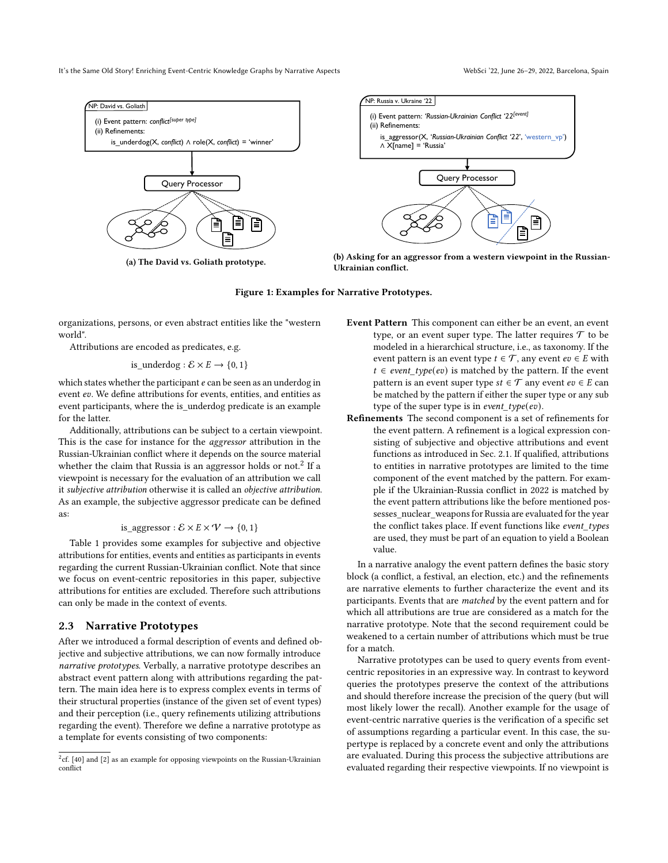<span id="page-2-1"></span>It's the Same Old Story! Enriching Event-Centric Knowledge Graphs by Narrative Aspects WebSci '22, June 26-29, 2022, Barcelona, Spain



(a) The David vs. Goliath prototype.



(b) Asking for an aggressor from a western viewpoint in the Russian-Ukrainian conflict.

#### Figure 1: Examples for Narrative Prototypes.

organizations, persons, or even abstract entities like the "western world".

Attributions are encoded as predicates, e.g.

is\_underdog :  $\mathcal{E} \times E \rightarrow \{0, 1\}$ 

which states whether the participant  $e$  can be seen as an underdog in event ev. We define attributions for events, entities, and entities as event participants, where the is\_underdog predicate is an example for the latter.

Additionally, attributions can be subject to a certain viewpoint. This is the case for instance for the aggressor attribution in the Russian-Ukrainian conflict where it depends on the source material whether the claim that Russia is an aggressor holds or not.<sup>[2](#page-2-0)</sup> If a viewpoint is necessary for the evaluation of an attribution we call it subjective attribution otherwise it is called an objective attribution. As an example, the subjective aggressor predicate can be defined as:

is\_ggersson: 
$$
\mathcal{E} \times E \times \mathcal{V} \rightarrow \{0, 1\}
$$

Table [1](#page-1-2) provides some examples for subjective and objective attributions for entities, events and entities as participants in events regarding the current Russian-Ukrainian conflict. Note that since we focus on event-centric repositories in this paper, subjective attributions for entities are excluded. Therefore such attributions can only be made in the context of events.

#### <span id="page-2-2"></span>2.3 Narrative Prototypes

After we introduced a formal description of events and defined objective and subjective attributions, we can now formally introduce narrative prototypes. Verbally, a narrative prototype describes an abstract event pattern along with attributions regarding the pattern. The main idea here is to express complex events in terms of their structural properties (instance of the given set of event types) and their perception (i.e., query refinements utilizing attributions regarding the event). Therefore we define a narrative prototype as a template for events consisting of two components:

- Event Pattern This component can either be an event, an event type, or an event super type. The latter requires  $\mathcal T$  to be modeled in a hierarchical structure, i.e., as taxonomy. If the event pattern is an event type  $t \in \mathcal{T}$ , any event  $ev \in E$  with  $t \in event\_type(ev)$  is matched by the pattern. If the event pattern is an event super type  $st \in \mathcal{T}$  any event  $ev \in E$  can be matched by the pattern if either the super type or any sub type of the super type is in event\_type(ev).
- Refinements The second component is a set of refinements for the event pattern. A refinement is a logical expression consisting of subjective and objective attributions and event functions as introduced in Sec. [2.1.](#page-1-3) If qualified, attributions to entities in narrative prototypes are limited to the time component of the event matched by the pattern. For example if the Ukrainian-Russia conflict in 2022 is matched by the event pattern attributions like the before mentioned possesses\_nuclear\_weapons for Russia are evaluated for the year the conflict takes place. If event functions like event\_types are used, they must be part of an equation to yield a Boolean value.

In a narrative analogy the event pattern defines the basic story block (a conflict, a festival, an election, etc.) and the refinements are narrative elements to further characterize the event and its participants. Events that are matched by the event pattern and for which all attributions are true are considered as a match for the narrative prototype. Note that the second requirement could be weakened to a certain number of attributions which must be true for a match.

Narrative prototypes can be used to query events from eventcentric repositories in an expressive way. In contrast to keyword queries the prototypes preserve the context of the attributions and should therefore increase the precision of the query (but will most likely lower the recall). Another example for the usage of event-centric narrative queries is the verification of a specific set of assumptions regarding a particular event. In this case, the supertype is replaced by a concrete event and only the attributions are evaluated. During this process the subjective attributions are evaluated regarding their respective viewpoints. If no viewpoint is

<span id="page-2-0"></span> $^{2}$ cf. [\[40\]](#page-9-8) and [\[2\]](#page-8-4) as an example for opposing viewpoints on the Russian-Ukrainian conflict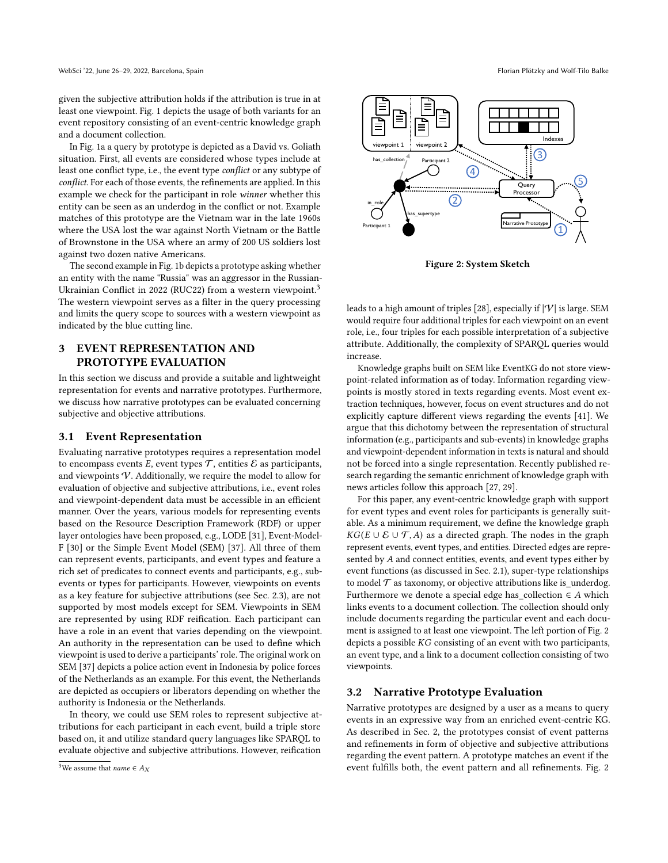given the subjective attribution holds if the attribution is true in at least one viewpoint. Fig. [1](#page-2-1) depicts the usage of both variants for an event repository consisting of an event-centric knowledge graph and a document collection.

In Fig. [1a](#page-2-1) a query by prototype is depicted as a David vs. Goliath situation. First, all events are considered whose types include at least one conflict type, i.e., the event type conflict or any subtype of conflict. For each of those events, the refinements are applied. In this example we check for the participant in role winner whether this entity can be seen as an underdog in the conflict or not. Example matches of this prototype are the Vietnam war in the late 1960s where the USA lost the war against North Vietnam or the Battle of Brownstone in the USA where an army of 200 US soldiers lost against two dozen native Americans.

The second example in Fig. [1b](#page-2-1) depicts a prototype asking whether an entity with the name "Russia" was an aggressor in the Russian-Ukrainian Conflict in 2022 (RUC22) from a western viewpoint.<sup>[3](#page-3-0)</sup> The western viewpoint serves as a filter in the query processing and limits the query scope to sources with a western viewpoint as indicated by the blue cutting line.

# 3 EVENT REPRESENTATION AND PROTOTYPE EVALUATION

In this section we discuss and provide a suitable and lightweight representation for events and narrative prototypes. Furthermore, we discuss how narrative prototypes can be evaluated concerning subjective and objective attributions.

## <span id="page-3-2"></span>3.1 Event Representation

Evaluating narrative prototypes requires a representation model to encompass events  $E$ , event types  $T$ , entities  $E$  as participants, and viewpoints  $V$ . Additionally, we require the model to allow for evaluation of objective and subjective attributions, i.e., event roles and viewpoint-dependent data must be accessible in an efficient manner. Over the years, various models for representing events based on the Resource Description Framework (RDF) or upper layer ontologies have been proposed, e.g., LODE [\[31\]](#page-9-9), Event-Model-F [\[30\]](#page-9-10) or the Simple Event Model (SEM) [\[37\]](#page-9-11). All three of them can represent events, participants, and event types and feature a rich set of predicates to connect events and participants, e.g., subevents or types for participants. However, viewpoints on events as a key feature for subjective attributions (see Sec. [2.3\)](#page-2-2), are not supported by most models except for SEM. Viewpoints in SEM are represented by using RDF reification. Each participant can have a role in an event that varies depending on the viewpoint. An authority in the representation can be used to define which viewpoint is used to derive a participants' role. The original work on SEM [\[37\]](#page-9-11) depicts a police action event in Indonesia by police forces of the Netherlands as an example. For this event, the Netherlands are depicted as occupiers or liberators depending on whether the authority is Indonesia or the Netherlands.

In theory, we could use SEM roles to represent subjective attributions for each participant in each event, build a triple store based on, it and utilize standard query languages like SPARQL to evaluate objective and subjective attributions. However, reification

<span id="page-3-1"></span>

Figure 2: System Sketch

leads to a high amount of triples [\[28\]](#page-9-5), especially if  $|V|$  is large. SEM would require four additional triples for each viewpoint on an event role, i.e., four triples for each possible interpretation of a subjective attribute. Additionally, the complexity of SPARQL queries would increase.

Knowledge graphs built on SEM like EventKG do not store viewpoint-related information as of today. Information regarding viewpoints is mostly stored in texts regarding events. Most event extraction techniques, however, focus on event structures and do not explicitly capture different views regarding the events [\[41\]](#page-9-12). We argue that this dichotomy between the representation of structural information (e.g., participants and sub-events) in knowledge graphs and viewpoint-dependent information in texts is natural and should not be forced into a single representation. Recently published research regarding the semantic enrichment of knowledge graph with news articles follow this approach [\[27,](#page-9-13) [29\]](#page-9-14).

For this paper, any event-centric knowledge graph with support for event types and event roles for participants is generally suitable. As a minimum requirement, we define the knowledge graph  $KG(E \cup E \cup T,A)$  as a directed graph. The nodes in the graph represent events, event types, and entities. Directed edges are represented by A and connect entities, events, and event types either by event functions (as discussed in Sec. [2.1\)](#page-1-3), super-type relationships to model  $\mathcal T$  as taxonomy, or objective attributions like is underdog. Furthermore we denote a special edge has\_collection  $\in A$  which links events to a document collection. The collection should only include documents regarding the particular event and each document is assigned to at least one viewpoint. The left portion of Fig. [2](#page-3-1) depicts a possible  $KG$  consisting of an event with two participants, an event type, and a link to a document collection consisting of two viewpoints.

#### <span id="page-3-3"></span>3.2 Narrative Prototype Evaluation

Narrative prototypes are designed by a user as a means to query events in an expressive way from an enriched event-centric KG. As described in Sec. [2,](#page-1-4) the prototypes consist of event patterns and refinements in form of objective and subjective attributions regarding the event pattern. A prototype matches an event if the event fulfills both, the event pattern and all refinements. Fig. [2](#page-3-1)

<span id="page-3-0"></span><sup>&</sup>lt;sup>3</sup>We assume that *name*  $\in$  *A*<sub>X</sub>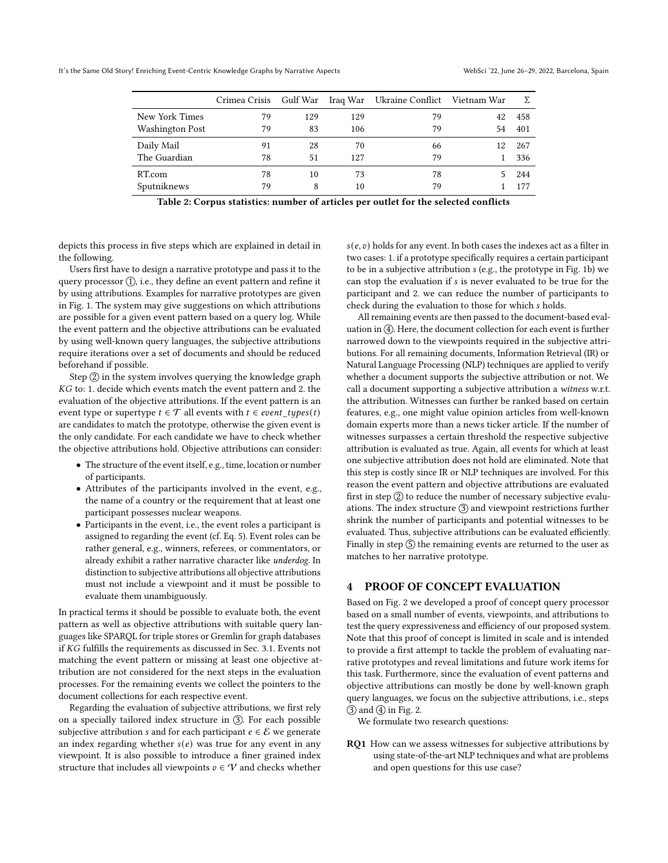<span id="page-4-0"></span>

|                 | Crimea Crisis | Gulf War |     | Iraq War Ukraine Conflict Vietnam War |    | Σ   |
|-----------------|---------------|----------|-----|---------------------------------------|----|-----|
| New York Times  | 79            | 129      | 129 | 79                                    | 42 | 458 |
| Washington Post | 79            | 83       | 106 | 79                                    | 54 | 401 |
| Daily Mail      | 91            | 28       | 70  | 66                                    | 12 | 267 |
| The Guardian    | 78            | 51       | 127 | 79                                    |    | 336 |
| RT.com          | 78            | 10       | 73  | 78                                    |    | 244 |
| Sputniknews     | 79            | 8        | 10  | 79                                    |    | 177 |

Table 2: Corpus statistics: number of articles per outlet for the selected conflicts

depicts this process in five steps which are explained in detail in the following.

Users first have to design a narrative prototype and pass it to the query processor  $(1)$ , i.e., they define an event pattern and refine it by using attributions. Examples for narrative prototypes are given in Fig. [1.](#page-2-1) The system may give suggestions on which attributions are possible for a given event pattern based on a query log. While the event pattern and the objective attributions can be evaluated by using well-known query languages, the subjective attributions require iterations over a set of documents and should be reduced beforehand if possible.

Step  $(2)$  in the system involves querying the knowledge graph  $KG$  to: 1. decide which events match the event pattern and 2. the evaluation of the objective attributions. If the event pattern is an event type or supertype  $t \in \mathcal{T}$  all events with  $t \in event\_types(t)$ are candidates to match the prototype, otherwise the given event is the only candidate. For each candidate we have to check whether the objective attributions hold. Objective attributions can consider:

- The structure of the event itself, e.g., time, location or number of participants.
- Attributes of the participants involved in the event, e.g., the name of a country or the requirement that at least one participant possesses nuclear weapons.
- Participants in the event, i.e., the event roles a participant is assigned to regarding the event (cf. Eq. [5\)](#page-1-1). Event roles can be rather general, e.g., winners, referees, or commentators, or already exhibit a rather narrative character like underdog. In distinction to subjective attributions all objective attributions must not include a viewpoint and it must be possible to evaluate them unambiguously.

In practical terms it should be possible to evaluate both, the event pattern as well as objective attributions with suitable query languages like SPARQL for triple stores or Gremlin for graph databases if  $KG$  fulfills the requirements as discussed in Sec. [3.1.](#page-3-2) Events not matching the event pattern or missing at least one objective attribution are not considered for the next steps in the evaluation processes. For the remaining events we collect the pointers to the document collections for each respective event.

Regarding the evaluation of subjective attributions, we first rely on a specially tailored index structure in 3. For each possible subjective attribution *s* and for each participant  $e \in \mathcal{E}$  we generate an index regarding whether  $s(e)$  was true for any event in any viewpoint. It is also possible to introduce a finer grained index structure that includes all viewpoints  $v \in \mathcal{V}$  and checks whether

 $s(e, v)$  holds for any event. In both cases the indexes act as a filter in two cases: 1. if a prototype specifically requires a certain participant to be in a subjective attribution (e.g., the prototype in Fig. [1b\)](#page-2-1) we can stop the evaluation if *s* is never evaluated to be true for the participant and 2. we can reduce the number of participants to check during the evaluation to those for which s holds.

All remaining events are then passed to the document-based evaluation in  $(4)$ . Here, the document collection for each event is further narrowed down to the viewpoints required in the subjective attributions. For all remaining documents, Information Retrieval (IR) or Natural Language Processing (NLP) techniques are applied to verify whether a document supports the subjective attribution or not. We call a document supporting a subjective attribution a witness w.r.t. the attribution. Witnesses can further be ranked based on certain features, e.g., one might value opinion articles from well-known domain experts more than a news ticker article. If the number of witnesses surpasses a certain threshold the respective subjective attribution is evaluated as true. Again, all events for which at least one subjective attribution does not hold are eliminated. Note that this step is costly since IR or NLP techniques are involved. For this reason the event pattern and objective attributions are evaluated first in step  $(2)$  to reduce the number of necessary subjective evaluations. The index structure  $\circled{3}$  and viewpoint restrictions further shrink the number of participants and potential witnesses to be evaluated. Thus, subjective attributions can be evaluated efficiently. Finally in step  $(5)$  the remaining events are returned to the user as matches to her narrative prototype.

## 4 PROOF OF CONCEPT EVALUATION

Based on Fig. [2](#page-3-1) we developed a proof of concept query processor based on a small number of events, viewpoints, and attributions to test the query expressiveness and efficiency of our proposed system. Note that this proof of concept is limited in scale and is intended to provide a first attempt to tackle the problem of evaluating narrative prototypes and reveal limitations and future work items for this task. Furthermore, since the evaluation of event patterns and objective attributions can mostly be done by well-known graph query languages, we focus on the subjective attributions, i.e., steps  $(3)$  and  $(4)$  in Fig. [2.](#page-3-1)

We formulate two research questions:

RQ1 How can we assess witnesses for subjective attributions by using state-of-the-art NLP techniques and what are problems and open questions for this use case?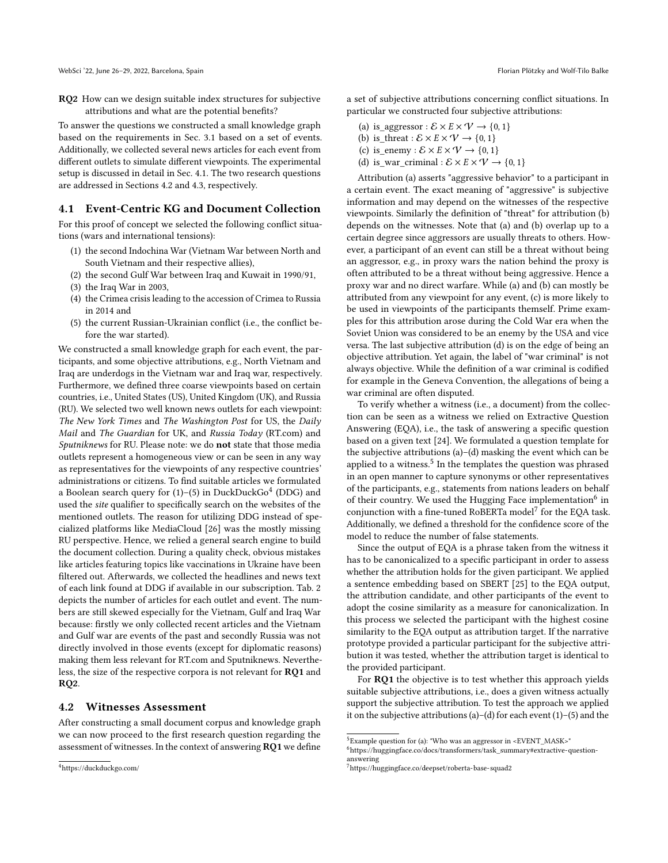RQ2 How can we design suitable index structures for subjective attributions and what are the potential benefits?

To answer the questions we constructed a small knowledge graph based on the requirements in Sec. [3.1](#page-3-2) based on a set of events. Additionally, we collected several news articles for each event from different outlets to simulate different viewpoints. The experimental setup is discussed in detail in Sec. [4.1.](#page-5-0) The two research questions are addressed in Sections [4.2](#page-5-1) and [4.3,](#page-7-0) respectively.

#### <span id="page-5-0"></span>4.1 Event-Centric KG and Document Collection

For this proof of concept we selected the following conflict situations (wars and international tensions):

- (1) the second Indochina War (Vietnam War between North and South Vietnam and their respective allies),
- (2) the second Gulf War between Iraq and Kuwait in 1990/91,
- (3) the Iraq War in 2003,
- (4) the Crimea crisis leading to the accession of Crimea to Russia in 2014 and
- (5) the current Russian-Ukrainian conflict (i.e., the conflict before the war started).

We constructed a small knowledge graph for each event, the participants, and some objective attributions, e.g., North Vietnam and Iraq are underdogs in the Vietnam war and Iraq war, respectively. Furthermore, we defined three coarse viewpoints based on certain countries, i.e., United States (US), United Kingdom (UK), and Russia (RU). We selected two well known news outlets for each viewpoint: The New York Times and The Washington Post for US, the Daily Mail and The Guardian for UK, and Russia Today (RT.com) and Sputniknews for RU. Please note: we do not state that those media outlets represent a homogeneous view or can be seen in any way as representatives for the viewpoints of any respective countries' administrations or citizens. To find suitable articles we formulated a Boolean search query for (1)–(5) in DuckDuckGo $^4$  $^4$  (DDG) and used the site qualifier to specifically search on the websites of the mentioned outlets. The reason for utilizing DDG instead of specialized platforms like MediaCloud [\[26\]](#page-9-15) was the mostly missing RU perspective. Hence, we relied a general search engine to build the document collection. During a quality check, obvious mistakes like articles featuring topics like vaccinations in Ukraine have been filtered out. Afterwards, we collected the headlines and news text of each link found at DDG if available in our subscription. Tab. [2](#page-4-0) depicts the number of articles for each outlet and event. The numbers are still skewed especially for the Vietnam, Gulf and Iraq War because: firstly we only collected recent articles and the Vietnam and Gulf war are events of the past and secondly Russia was not directly involved in those events (except for diplomatic reasons) making them less relevant for RT.com and Sputniknews. Nevertheless, the size of the respective corpora is not relevant for RQ1 and RQ2.

#### <span id="page-5-1"></span>4.2 Witnesses Assessment

After constructing a small document corpus and knowledge graph we can now proceed to the first research question regarding the assessment of witnesses. In the context of answering RQ1 we define a set of subjective attributions concerning conflict situations. In particular we constructed four subjective attributions:

- (a) is\_aggressor :  $\mathcal{E} \times E \times \mathcal{V} \rightarrow \{0, 1\}$
- (b) is\_threat :  $\mathcal{E} \times E \times \mathcal{V} \rightarrow \{0, 1\}$
- (c) is\_enemy :  $\mathcal{E} \times E \times \mathcal{V} \rightarrow \{0, 1\}$
- (d) is\_war\_criminal :  $\mathcal{E} \times E \times \mathcal{V} \rightarrow \{0, 1\}$

Attribution (a) asserts "aggressive behavior" to a participant in a certain event. The exact meaning of "aggressive" is subjective information and may depend on the witnesses of the respective viewpoints. Similarly the definition of "threat" for attribution (b) depends on the witnesses. Note that (a) and (b) overlap up to a certain degree since aggressors are usually threats to others. However, a participant of an event can still be a threat without being an aggressor, e.g., in proxy wars the nation behind the proxy is often attributed to be a threat without being aggressive. Hence a proxy war and no direct warfare. While (a) and (b) can mostly be attributed from any viewpoint for any event, (c) is more likely to be used in viewpoints of the participants themself. Prime examples for this attribution arose during the Cold War era when the Soviet Union was considered to be an enemy by the USA and vice versa. The last subjective attribution (d) is on the edge of being an objective attribution. Yet again, the label of "war criminal" is not always objective. While the definition of a war criminal is codified for example in the Geneva Convention, the allegations of being a war criminal are often disputed.

To verify whether a witness (i.e., a document) from the collection can be seen as a witness we relied on Extractive Question Answering (EQA), i.e., the task of answering a specific question based on a given text [\[24\]](#page-9-16). We formulated a question template for the subjective attributions (a)–(d) masking the event which can be applied to a witness.<sup>[5](#page-5-3)</sup> In the templates the question was phrased in an open manner to capture synonyms or other representatives of the participants, e.g., statements from nations leaders on behalf of their country. We used the Hugging Face implementation<sup>[6](#page-5-4)</sup> in conjunction with a fine-tuned RoBERTa model<sup>[7](#page-5-5)</sup> for the EQA task. Additionally, we defined a threshold for the confidence score of the model to reduce the number of false statements.

Since the output of EQA is a phrase taken from the witness it has to be canonicalized to a specific participant in order to assess whether the attribution holds for the given participant. We applied a sentence embedding based on SBERT [\[25\]](#page-9-17) to the EQA output, the attribution candidate, and other participants of the event to adopt the cosine similarity as a measure for canonicalization. In this process we selected the participant with the highest cosine similarity to the EQA output as attribution target. If the narrative prototype provided a particular participant for the subjective attribution it was tested, whether the attribution target is identical to the provided participant.

For RQ1 the objective is to test whether this approach yields suitable subjective attributions, i.e., does a given witness actually support the subjective attribution. To test the approach we applied it on the subjective attributions (a)–(d) for each event (1)–(5) and the

<span id="page-5-2"></span><sup>4</sup><https://duckduckgo.com/>

<span id="page-5-3"></span> $^5$ Example question for (a): "Who was an aggressor in <EVENT\_MASK>"

<span id="page-5-4"></span> $^6$ [https://huggingface.co/docs/transformers/task\\_summary#extractive-question](https://huggingface.co/docs/transformers/task_summary#extractive-question-answering)[answering](https://huggingface.co/docs/transformers/task_summary#extractive-question-answering)

<span id="page-5-5"></span><sup>7</sup><https://huggingface.co/deepset/roberta-base-squad2>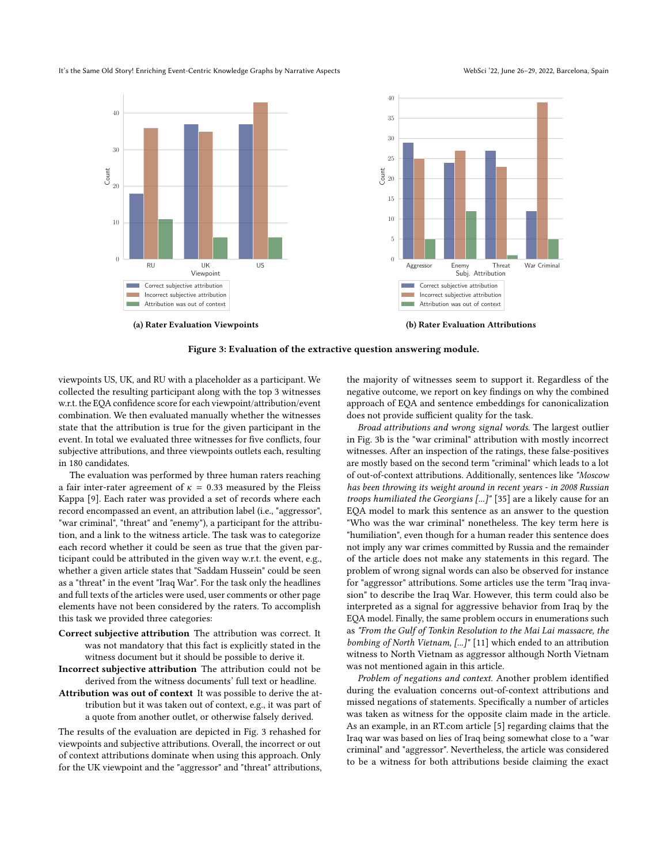#### <span id="page-6-0"></span>It's the Same Old Story! Enriching Event-Centric Knowledge Graphs by Narrative Aspects WebSci '22, June 26-29, 2022, Barcelona, Spain



Figure 3: Evaluation of the extractive question answering module.

viewpoints US, UK, and RU with a placeholder as a participant. We collected the resulting participant along with the top 3 witnesses w.r.t. the EQA confidence score for each viewpoint/attribution/event combination. We then evaluated manually whether the witnesses state that the attribution is true for the given participant in the event. In total we evaluated three witnesses for five conflicts, four subjective attributions, and three viewpoints outlets each, resulting in 180 candidates.

The evaluation was performed by three human raters reaching a fair inter-rater agreement of  $\kappa = 0.33$  measured by the Fleiss Kappa [\[9\]](#page-8-5). Each rater was provided a set of records where each record encompassed an event, an attribution label (i.e., "aggressor", "war criminal", "threat" and "enemy"), a participant for the attribution, and a link to the witness article. The task was to categorize each record whether it could be seen as true that the given participant could be attributed in the given way w.r.t. the event, e.g., whether a given article states that "Saddam Hussein" could be seen as a "threat" in the event "Iraq War". For the task only the headlines and full texts of the articles were used, user comments or other page elements have not been considered by the raters. To accomplish this task we provided three categories:

- Correct subjective attribution The attribution was correct. It was not mandatory that this fact is explicitly stated in the witness document but it should be possible to derive it.
- Incorrect subjective attribution The attribution could not be derived from the witness documents' full text or headline.
- Attribution was out of context It was possible to derive the attribution but it was taken out of context, e.g., it was part of a quote from another outlet, or otherwise falsely derived.

The results of the evaluation are depicted in Fig. [3](#page-6-0) rehashed for viewpoints and subjective attributions. Overall, the incorrect or out of context attributions dominate when using this approach. Only for the UK viewpoint and the "aggressor" and "threat" attributions,

the majority of witnesses seem to support it. Regardless of the negative outcome, we report on key findings on why the combined approach of EQA and sentence embeddings for canonicalization does not provide sufficient quality for the task.

Broad attributions and wrong signal words. The largest outlier in Fig. [3b](#page-6-0) is the "war criminal" attribution with mostly incorrect witnesses. After an inspection of the ratings, these false-positives are mostly based on the second term "criminal" which leads to a lot of out-of-context attributions. Additionally, sentences like "Moscow has been throwing its weight around in recent years - in 2008 Russian troops humiliated the Georgians [...]" [\[35\]](#page-9-18) are a likely cause for an EQA model to mark this sentence as an answer to the question "Who was the war criminal" nonetheless. The key term here is "humiliation", even though for a human reader this sentence does not imply any war crimes committed by Russia and the remainder of the article does not make any statements in this regard. The problem of wrong signal words can also be observed for instance for "aggressor" attributions. Some articles use the term "Iraq invasion" to describe the Iraq War. However, this term could also be interpreted as a signal for aggressive behavior from Iraq by the EQA model. Finally, the same problem occurs in enumerations such as "From the Gulf of Tonkin Resolution to the Mai Lai massacre, the bombing of North Vietnam, [...]" [\[11\]](#page-8-6) which ended to an attribution witness to North Vietnam as aggressor although North Vietnam was not mentioned again in this article.

Problem of negations and context. Another problem identified during the evaluation concerns out-of-context attributions and missed negations of statements. Specifically a number of articles was taken as witness for the opposite claim made in the article. As an example, in an RT.com article [\[5\]](#page-8-7) regarding claims that the Iraq war was based on lies of Iraq being somewhat close to a "war criminal" and "aggressor". Nevertheless, the article was considered to be a witness for both attributions beside claiming the exact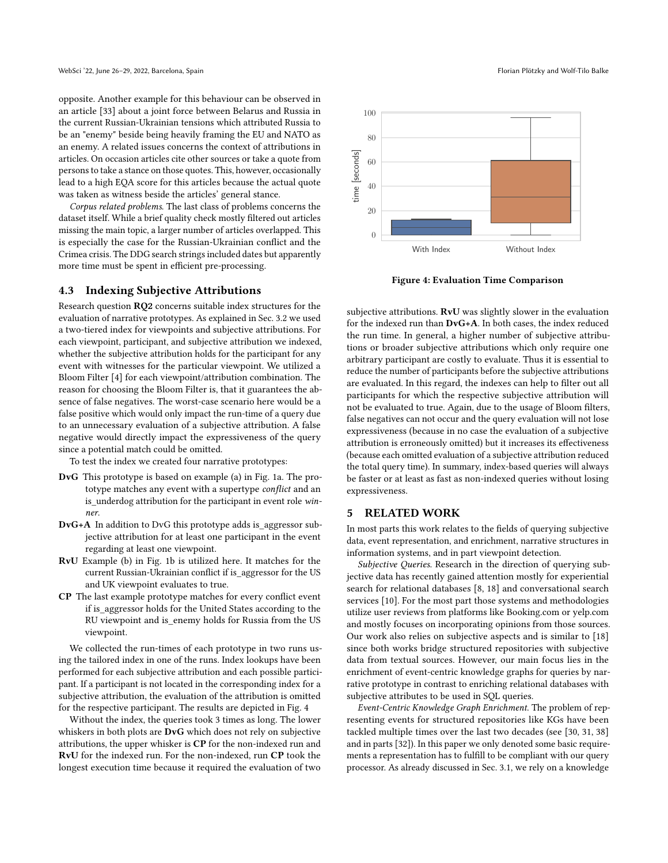opposite. Another example for this behaviour can be observed in an article [\[33\]](#page-9-19) about a joint force between Belarus and Russia in the current Russian-Ukrainian tensions which attributed Russia to be an "enemy" beside being heavily framing the EU and NATO as an enemy. A related issues concerns the context of attributions in articles. On occasion articles cite other sources or take a quote from persons to take a stance on those quotes. This, however, occasionally lead to a high EQA score for this articles because the actual quote was taken as witness beside the articles' general stance.

Corpus related problems. The last class of problems concerns the dataset itself. While a brief quality check mostly filtered out articles missing the main topic, a larger number of articles overlapped. This is especially the case for the Russian-Ukrainian conflict and the Crimea crisis. The DDG search strings included dates but apparently more time must be spent in efficient pre-processing.

## <span id="page-7-0"></span>4.3 Indexing Subjective Attributions

Research question RQ2 concerns suitable index structures for the evaluation of narrative prototypes. As explained in Sec. [3.2](#page-3-3) we used a two-tiered index for viewpoints and subjective attributions. For each viewpoint, participant, and subjective attribution we indexed, whether the subjective attribution holds for the participant for any event with witnesses for the particular viewpoint. We utilized a Bloom Filter [\[4\]](#page-8-8) for each viewpoint/attribution combination. The reason for choosing the Bloom Filter is, that it guarantees the absence of false negatives. The worst-case scenario here would be a false positive which would only impact the run-time of a query due to an unnecessary evaluation of a subjective attribution. A false negative would directly impact the expressiveness of the query since a potential match could be omitted.

To test the index we created four narrative prototypes:

- DvG This prototype is based on example (a) in Fig. [1a.](#page-2-1) The prototype matches any event with a supertype conflict and an is underdog attribution for the participant in event role winner.
- DvG+A In addition to DvG this prototype adds is\_aggressor subjective attribution for at least one participant in the event regarding at least one viewpoint.
- RvU Example (b) in Fig. [1b](#page-2-1) is utilized here. It matches for the current Russian-Ukrainian conflict if is\_aggressor for the US and UK viewpoint evaluates to true.
- CP The last example prototype matches for every conflict event if is\_aggressor holds for the United States according to the RU viewpoint and is\_enemy holds for Russia from the US viewpoint.

We collected the run-times of each prototype in two runs using the tailored index in one of the runs. Index lookups have been performed for each subjective attribution and each possible participant. If a participant is not located in the corresponding index for a subjective attribution, the evaluation of the attribution is omitted for the respective participant. The results are depicted in Fig. [4](#page-7-1)

Without the index, the queries took 3 times as long. The lower whiskers in both plots are DvG which does not rely on subjective attributions, the upper whisker is CP for the non-indexed run and RvU for the indexed run. For the non-indexed, run CP took the longest execution time because it required the evaluation of two

<span id="page-7-1"></span>

Figure 4: Evaluation Time Comparison

subjective attributions. RvU was slightly slower in the evaluation for the indexed run than DvG+A. In both cases, the index reduced the run time. In general, a higher number of subjective attributions or broader subjective attributions which only require one arbitrary participant are costly to evaluate. Thus it is essential to reduce the number of participants before the subjective attributions are evaluated. In this regard, the indexes can help to filter out all participants for which the respective subjective attribution will not be evaluated to true. Again, due to the usage of Bloom filters, false negatives can not occur and the query evaluation will not lose expressiveness (because in no case the evaluation of a subjective attribution is erroneously omitted) but it increases its effectiveness (because each omitted evaluation of a subjective attribution reduced the total query time). In summary, index-based queries will always be faster or at least as fast as non-indexed queries without losing expressiveness.

#### 5 RELATED WORK

In most parts this work relates to the fields of querying subjective data, event representation, and enrichment, narrative structures in information systems, and in part viewpoint detection.

Subjective Queries. Research in the direction of querying subjective data has recently gained attention mostly for experiential search for relational databases [\[8,](#page-8-9) [18\]](#page-9-20) and conversational search services [\[10\]](#page-8-10). For the most part those systems and methodologies utilize user reviews from platforms like Booking.com or yelp.com and mostly focuses on incorporating opinions from those sources. Our work also relies on subjective aspects and is similar to [\[18\]](#page-9-20) since both works bridge structured repositories with subjective data from textual sources. However, our main focus lies in the enrichment of event-centric knowledge graphs for queries by narrative prototype in contrast to enriching relational databases with subjective attributes to be used in SQL queries.

Event-Centric Knowledge Graph Enrichment. The problem of representing events for structured repositories like KGs have been tackled multiple times over the last two decades (see [\[30,](#page-9-10) [31,](#page-9-9) [38\]](#page-9-21) and in parts [\[32\]](#page-9-22)). In this paper we only denoted some basic requirements a representation has to fulfill to be compliant with our query processor. As already discussed in Sec. [3.1,](#page-3-2) we rely on a knowledge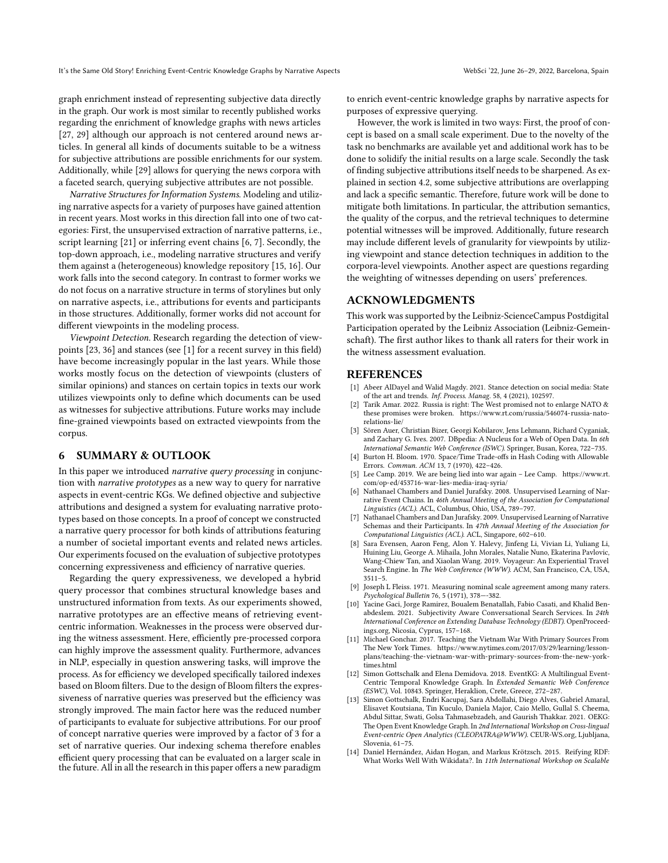graph enrichment instead of representing subjective data directly in the graph. Our work is most similar to recently published works regarding the enrichment of knowledge graphs with news articles [\[27,](#page-9-13) [29\]](#page-9-14) although our approach is not centered around news articles. In general all kinds of documents suitable to be a witness for subjective attributions are possible enrichments for our system. Additionally, while [\[29\]](#page-9-14) allows for querying the news corpora with a faceted search, querying subjective attributes are not possible.

Narrative Structures for Information Systems. Modeling and utilizing narrative aspects for a variety of purposes have gained attention in recent years. Most works in this direction fall into one of two categories: First, the unsupervised extraction of narrative patterns, i.e., script learning [\[21\]](#page-9-23) or inferring event chains [\[6,](#page-8-11) [7\]](#page-8-12). Secondly, the top-down approach, i.e., modeling narrative structures and verify them against a (heterogeneous) knowledge repository [\[15,](#page-9-24) [16\]](#page-9-25). Our work falls into the second category. In contrast to former works we do not focus on a narrative structure in terms of storylines but only on narrative aspects, i.e., attributions for events and participants in those structures. Additionally, former works did not account for different viewpoints in the modeling process.

Viewpoint Detection. Research regarding the detection of viewpoints [\[23,](#page-9-26) [36\]](#page-9-27) and stances (see [\[1\]](#page-8-13) for a recent survey in this field) have become increasingly popular in the last years. While those works mostly focus on the detection of viewpoints (clusters of similar opinions) and stances on certain topics in texts our work utilizes viewpoints only to define which documents can be used as witnesses for subjective attributions. Future works may include fine-grained viewpoints based on extracted viewpoints from the corpus.

# 6 SUMMARY & OUTLOOK

In this paper we introduced narrative query processing in conjunction with narrative prototypes as a new way to query for narrative aspects in event-centric KGs. We defined objective and subjective attributions and designed a system for evaluating narrative prototypes based on those concepts. In a proof of concept we constructed a narrative query processor for both kinds of attributions featuring a number of societal important events and related news articles. Our experiments focused on the evaluation of subjective prototypes concerning expressiveness and efficiency of narrative queries.

Regarding the query expressiveness, we developed a hybrid query processor that combines structural knowledge bases and unstructured information from texts. As our experiments showed, narrative prototypes are an effective means of retrieving eventcentric information. Weaknesses in the process were observed during the witness assessment. Here, efficiently pre-processed corpora can highly improve the assessment quality. Furthermore, advances in NLP, especially in question answering tasks, will improve the process. As for efficiency we developed specifically tailored indexes based on Bloom filters. Due to the design of Bloom filters the expressiveness of narrative queries was preserved but the efficiency was strongly improved. The main factor here was the reduced number of participants to evaluate for subjective attributions. For our proof of concept narrative queries were improved by a factor of 3 for a set of narrative queries. Our indexing schema therefore enables efficient query processing that can be evaluated on a larger scale in the future. All in all the research in this paper offers a new paradigm

to enrich event-centric knowledge graphs by narrative aspects for purposes of expressive querying.

However, the work is limited in two ways: First, the proof of concept is based on a small scale experiment. Due to the novelty of the task no benchmarks are available yet and additional work has to be done to solidify the initial results on a large scale. Secondly the task of finding subjective attributions itself needs to be sharpened. As explained in section [4.2,](#page-5-1) some subjective attributions are overlapping and lack a specific semantic. Therefore, future work will be done to mitigate both limitations. In particular, the attribution semantics, the quality of the corpus, and the retrieval techniques to determine potential witnesses will be improved. Additionally, future research may include different levels of granularity for viewpoints by utilizing viewpoint and stance detection techniques in addition to the corpora-level viewpoints. Another aspect are questions regarding the weighting of witnesses depending on users' preferences.

## ACKNOWLEDGMENTS

This work was supported by the Leibniz-ScienceCampus Postdigital Participation operated by the Leibniz Association (Leibniz-Gemeinschaft). The first author likes to thank all raters for their work in the witness assessment evaluation.

#### REFERENCES

- <span id="page-8-13"></span>[1] Abeer AlDayel and Walid Magdy. 2021. Stance detection on social media: State of the art and trends. Inf. Process. Manag. 58, 4 (2021), 102597.
- <span id="page-8-4"></span>[2] Tarik Amar. 2022. Russia is right: The West promised not to enlarge NATO & these promises were broken. [https://www.rt.com/russia/546074-russia-nato](https://www.rt.com/russia/546074-russia-nato-relations-lie/)[relations-lie/](https://www.rt.com/russia/546074-russia-nato-relations-lie/)
- <span id="page-8-0"></span>[3] Sören Auer, Christian Bizer, Georgi Kobilarov, Jens Lehmann, Richard Cyganiak, and Zachary G. Ives. 2007. DBpedia: A Nucleus for a Web of Open Data. In 6th International Semantic Web Conference (ISWC). Springer, Busan, Korea, 722–735.
- <span id="page-8-8"></span>Burton H. Bloom. 1970. Space/Time Trade-offs in Hash Coding with Allowable Errors. Commun. ACM 13, 7 (1970), 422–426.
- <span id="page-8-7"></span>[5] Lee Camp. 2019. We are being lied into war again – Lee Camp. [https://www.rt.](https://www.rt.com/op-ed/453716-war-lies-media-iraq-syria/) [com/op-ed/453716-war-lies-media-iraq-syria/](https://www.rt.com/op-ed/453716-war-lies-media-iraq-syria/)
- <span id="page-8-11"></span>[6] Nathanael Chambers and Daniel Jurafsky. 2008. Unsupervised Learning of Narrative Event Chains. In 46th Annual Meeting of the Association for Computational Linguistics (ACL). ACL, Columbus, Ohio, USA, 789–797.
- <span id="page-8-12"></span>Nathanael Chambers and Dan Jurafsky. 2009. Unsupervised Learning of Narrative Schemas and their Participants. In 47th Annual Meeting of the Association for Computational Linguistics (ACL). ACL, Singapore, 602–610.
- <span id="page-8-9"></span>[8] Sara Evensen, Aaron Feng, Alon Y. Halevy, Jinfeng Li, Vivian Li, Yuliang Li, Huining Liu, George A. Mihaila, John Morales, Natalie Nuno, Ekaterina Pavlovic, Wang-Chiew Tan, and Xiaolan Wang. 2019. Voyageur: An Experiential Travel Search Engine. In The Web Conference (WWW). ACM, San Francisco, CA, USA, 3511–5.
- <span id="page-8-5"></span>[9] Joseph L Fleiss. 1971. Measuring nominal scale agreement among many raters. Psychological Bulletin 76, 5 (1971), 378—-382.
- <span id="page-8-10"></span>[10] Yacine Gaci, Jorge Ramirez, Boualem Benatallah, Fabio Casati, and Khalid Benabdeslem. 2021. Subjectivity Aware Conversational Search Services. In 24th International Conference on Extending Database Technology (EDBT). OpenProceedings.org, Nicosia, Cyprus, 157–168.
- <span id="page-8-6"></span>[11] Michael Gonchar. 2017. Teaching the Vietnam War With Primary Sources From The New York Times. [https://www.nytimes.com/2017/03/29/learning/lesson](https://www.nytimes.com/2017/03/29/learning/lesson-plans/teaching-the-vietnam-war-with-primary-sources-from-the-new-york-times.html)[plans/teaching-the-vietnam-war-with-primary-sources-from-the-new-york](https://www.nytimes.com/2017/03/29/learning/lesson-plans/teaching-the-vietnam-war-with-primary-sources-from-the-new-york-times.html)[times.html](https://www.nytimes.com/2017/03/29/learning/lesson-plans/teaching-the-vietnam-war-with-primary-sources-from-the-new-york-times.html)
- <span id="page-8-1"></span>[12] Simon Gottschalk and Elena Demidova. 2018. EventKG: A Multilingual Event-Centric Temporal Knowledge Graph. In Extended Semantic Web Conference (ESWC), Vol. 10843. Springer, Heraklion, Crete, Greece, 272–287.
- <span id="page-8-2"></span>[13] Simon Gottschalk, Endri Kacupaj, Sara Abdollahi, Diego Alves, Gabriel Amaral, Elisavet Koutsiana, Tin Kuculo, Daniela Major, Caio Mello, Gullal S. Cheema, Abdul Sittar, Swati, Golsa Tahmasebzadeh, and Gaurish Thakkar. 2021. OEKG: The Open Event Knowledge Graph. In 2nd International Workshop on Cross-lingual Event-centric Open Analytics (CLEOPATRA@WWW). CEUR-WS.org, Ljubljana, Slovenia, 61–75.
- <span id="page-8-3"></span>[14] Daniel Hernández, Aidan Hogan, and Markus Krötzsch. 2015. Reifying RDF: What Works Well With Wikidata?. In 11th International Workshop on Scalable